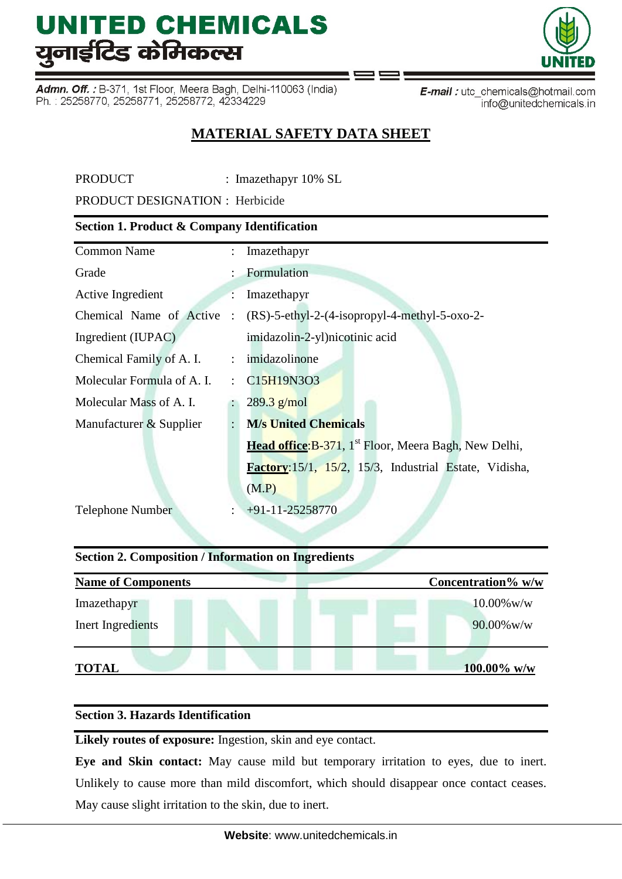Admn. Off.: B-371, 1st Floor, Meera Bagh, Delhi-110063 (India) Ph.: 25258770, 25258771, 25258772, 42334229

E-mail: utc\_chemicals@hotmail.com info@unitedchemicals.in

## **MATERIAL SAFETY DATA SHEET**

PRODUCT : Imazethapyr 10% SL

PRODUCT DESIGNATION : Herbicide

## **Section 1. Product & Company Identification**

| <b>Common Name</b>         | ÷                    | Imazethapyr                                                              |
|----------------------------|----------------------|--------------------------------------------------------------------------|
| Grade                      |                      | : Formulation                                                            |
| Active Ingredient          |                      | Imazethapyr                                                              |
| Chemical Name of Active    |                      | $(RS)$ -5-ethyl-2-(4-isopropyl-4-methyl-5-oxo-2-                         |
| Ingredient (IUPAC)         |                      | imidazolin-2-yl)nicotinic acid                                           |
| Chemical Family of A. I.   |                      | : imidazolinone                                                          |
| Molecular Formula of A. I. |                      | $\therefore$ C15H19N3O3                                                  |
| Molecular Mass of A. I.    |                      | $289.3$ g/mol                                                            |
| Manufacturer & Supplier    | $\ddot{\phantom{a}}$ | <b>M/s United Chemicals</b>                                              |
|                            |                      | <b>Head office:</b> B-371, 1 <sup>st</sup> Floor, Meera Bagh, New Delhi, |
|                            |                      | Factory: 15/1, 15/2, 15/3, Industrial Estate, Vidisha,                   |
|                            |                      | (M.P)                                                                    |
| <b>Telephone Number</b>    |                      | $+91-11-25258770$                                                        |
|                            |                      |                                                                          |

## **Section 2. Composition / Information on Ingredients**

| <b>Name of Components</b> | Concentration% w/w |
|---------------------------|--------------------|
| Imazethapyr               | $10.00\%$ w/w      |
| Inert Ingredients         | $90.00\%$ w/w      |
| <b>TOTAL</b>              | 100.00% w/w        |

## **Section 3. Hazards Identification**

**Likely routes of exposure:** Ingestion, skin and eye contact.

**Eye and Skin contact:** May cause mild but temporary irritation to eyes, due to inert. Unlikely to cause more than mild discomfort, which should disappear once contact ceases. May cause slight irritation to the skin, due to inert.

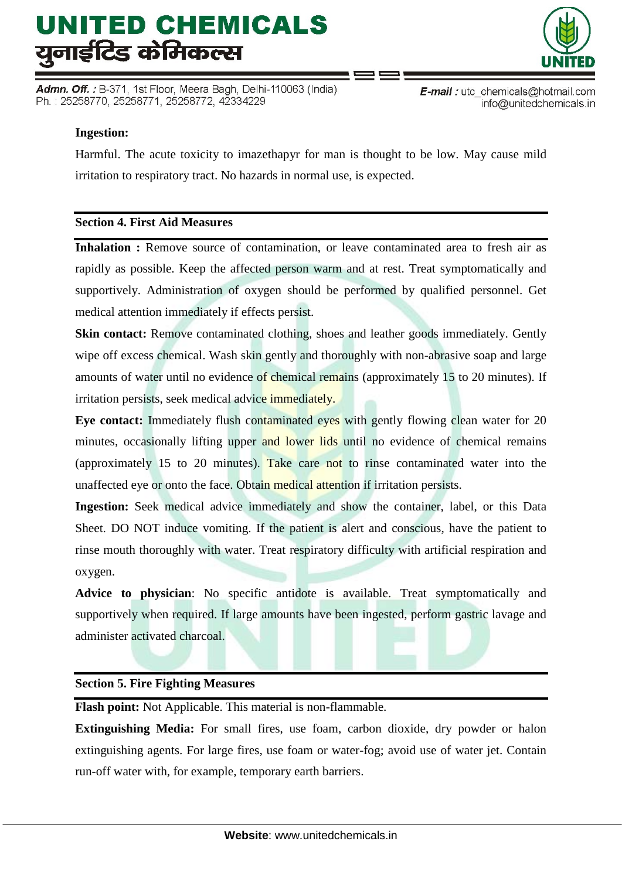Admn. Off. : B-371, 1st Floor, Meera Bagh, Delhi-110063 (India) Ph.: 25258770, 25258771, 25258772, 42334229



E-mail: utc chemicals@hotmail.com info@unitedchemicals.in

## **Ingestion:**

Harmful. The acute toxicity to imazethapyr for man is thought to be low. May cause mild irritation to respiratory tract. No hazards in normal use, is expected.

## **Section 4. First Aid Measures**

**Inhalation :** Remove source of contamination, or leave contaminated area to fresh air as rapidly as possible. Keep the affected person warm and at rest. Treat symptomatically and supportively. Administration of oxygen should be performed by qualified personnel. Get medical attention immediately if effects persist.

**Skin contact:** Remove contaminated clothing, shoes and leather goods immediately. Gently wipe off excess chemical. Wash skin gently and thoroughly with non-abrasive soap and large amounts of water until no evidence of chemical remains (approximately 15 to 20 minutes). If irritation persists, seek medical advice immediately.

**Eye contact:** Immediately flush contaminated eyes with gently flowing clean water for 20 minutes, occasionally lifting upper and lower lids until no evidence of chemical remains (approximately 15 to 20 minutes). Take care not to rinse contaminated water into the unaffected eye or onto the face. Obtain medical attention if irritation persists.

**Ingestion:** Seek medical advice immediately and show the container, label, or this Data Sheet. DO NOT induce vomiting. If the patient is alert and conscious, have the patient to rinse mouth thoroughly with water. Treat respiratory difficulty with artificial respiration and oxygen.

**Advice to physician**: No specific antidote is available. Treat symptomatically and supportively when required. If large amounts have been ingested, perform gastric lavage and administer activated charcoal.

#### **Section 5. Fire Fighting Measures**

**Flash point:** Not Applicable. This material is non-flammable.

**Extinguishing Media:** For small fires, use foam, carbon dioxide, dry powder or halon extinguishing agents. For large fires, use foam or water-fog; avoid use of water jet. Contain run-off water with, for example, temporary earth barriers.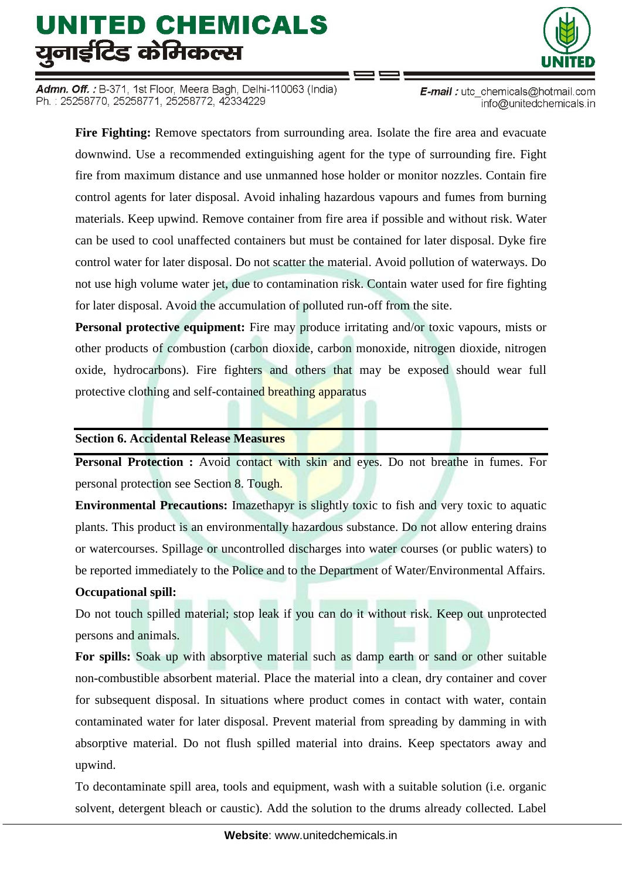Admn. Off. : B-371, 1st Floor, Meera Bagh, Delhi-110063 (India) Ph.: 25258770, 25258771, 25258772, 42334229



E-mail: utc\_chemicals@hotmail.com info@unitedchemicals.in

**Fire Fighting:** Remove spectators from surrounding area. Isolate the fire area and evacuate downwind. Use a recommended extinguishing agent for the type of surrounding fire. Fight fire from maximum distance and use unmanned hose holder or monitor nozzles. Contain fire control agents for later disposal. Avoid inhaling hazardous vapours and fumes from burning materials. Keep upwind. Remove container from fire area if possible and without risk. Water can be used to cool unaffected containers but must be contained for later disposal. Dyke fire control water for later disposal. Do not scatter the material. Avoid pollution of waterways. Do not use high volume water jet, due to contamination risk. Contain water used for fire fighting for later disposal. Avoid the accumulation of polluted run-off from the site.

**Personal protective equipment:** Fire may produce irritating and/or toxic vapours, mists or other products of combustion (carbon dioxide, carbon monoxide, nitrogen dioxide, nitrogen oxide, hydrocarbons). Fire fighters and others that may be exposed should wear full protective clothing and self-contained breathing apparatus

### **Section 6. Accidental Release Measures**

**Personal Protection :** Avoid contact with skin and eyes. Do not breathe in fumes. For personal protection see Section 8. Tough.

**Environmental Precautions:** Imazethapyr is slightly toxic to fish and very toxic to aquatic plants. This product is an environmentally hazardous substance. Do not allow entering drains or watercourses. Spillage or uncontrolled discharges into water courses (or public waters) to be reported immediately to the Police and to the Department of Water/Environmental Affairs.

## **Occupational spill:**

Do not touch spilled material; stop leak if you can do it without risk. Keep out unprotected persons and animals.

**For spills:** Soak up with absorptive material such as damp earth or sand or other suitable non-combustible absorbent material. Place the material into a clean, dry container and cover for subsequent disposal. In situations where product comes in contact with water, contain contaminated water for later disposal. Prevent material from spreading by damming in with absorptive material. Do not flush spilled material into drains. Keep spectators away and upwind.

To decontaminate spill area, tools and equipment, wash with a suitable solution (i.e. organic solvent, detergent bleach or caustic). Add the solution to the drums already collected. Label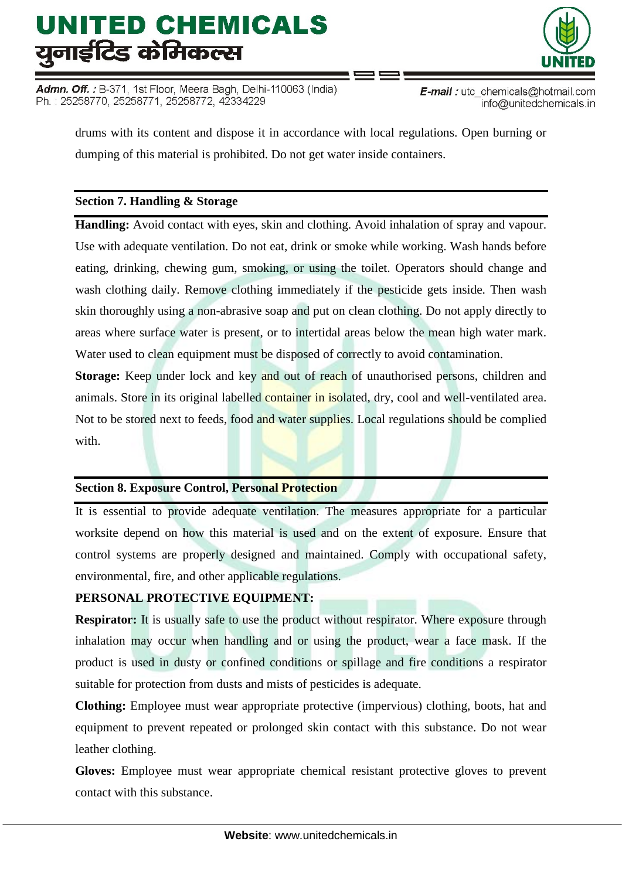Admn. Off. : B-371, 1st Floor, Meera Bagh, Delhi-110063 (India) Ph.: 25258770, 25258771, 25258772, 42334229



E-mail: utc\_chemicals@hotmail.com info@unitedchemicals.in

drums with its content and dispose it in accordance with local regulations. Open burning or dumping of this material is prohibited. Do not get water inside containers.

## **Section 7. Handling & Storage**

**Handling:** Avoid contact with eyes, skin and clothing. Avoid inhalation of spray and vapour. Use with adequate ventilation. Do not eat, drink or smoke while working. Wash hands before eating, drinking, chewing gum, smoking, or using the toilet. Operators should change and wash clothing daily. Remove clothing immediately if the pesticide gets inside. Then wash skin thoroughly using a non-abrasive soap and put on clean clothing. Do not apply directly to areas where surface water is present, or to intertidal areas below the mean high water mark. Water used to clean equipment must be disposed of correctly to avoid contamination.

**Storage:** Keep under lock and key and out of reach of unauthorised persons, children and animals. Store in its original labelled container in isolated, dry, cool and well-ventilated area. Not to be stored next to feeds, food and water supplies. Local regulations should be complied with.

## **Section 8. Exposure Control, Personal Protection**

It is essential to provide adequate ventilation. The measures appropriate for a particular worksite depend on how this material is used and on the extent of exposure. Ensure that control systems are properly designed and maintained. Comply with occupational safety, environmental, fire, and other applicable regulations.

## **PERSONAL PROTECTIVE EQUIPMENT:**

**Respirator:** It is usually safe to use the product without respirator. Where exposure through inhalation may occur when handling and or using the product, wear a face mask. If the product is used in dusty or confined conditions or spillage and fire conditions a respirator suitable for protection from dusts and mists of pesticides is adequate.

**Clothing:** Employee must wear appropriate protective (impervious) clothing, boots, hat and equipment to prevent repeated or prolonged skin contact with this substance. Do not wear leather clothing.

**Gloves:** Employee must wear appropriate chemical resistant protective gloves to prevent contact with this substance.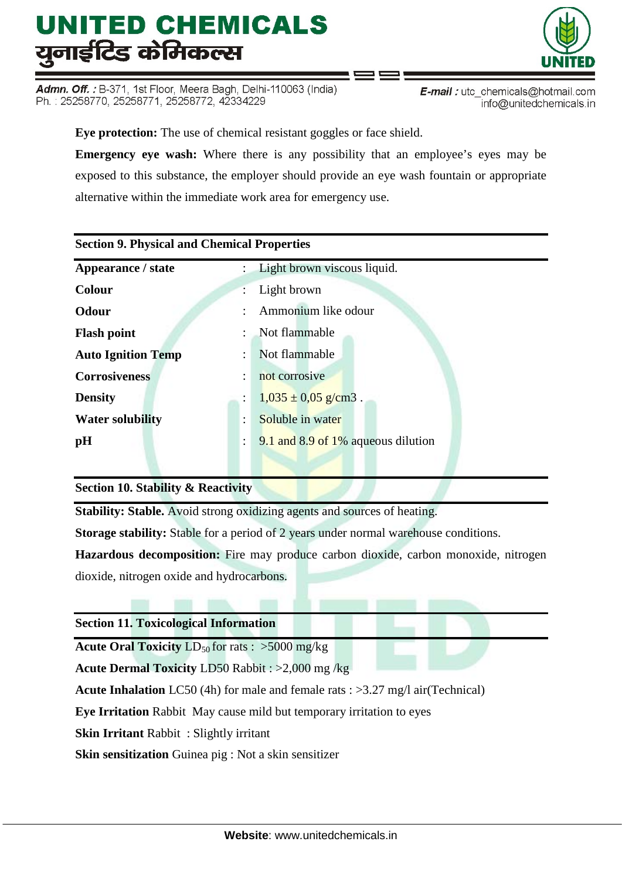Admn. Off.: B-371, 1st Floor, Meera Bagh, Delhi-110063 (India) Ph.: 25258770, 25258771, 25258772, 42334229

info@unitedchemicals.in

**Eye protection:** The use of chemical resistant goggles or face shield. **Emergency eye wash:** Where there is any possibility that an employee's eyes may be exposed to this substance, the employer should provide an eye wash fountain or appropriate alternative within the immediate work area for emergency use.

## **Section 9. Physical and Chemical Properties**

| Appearance / state<br>$\mathcal{L}$               | Light brown viscous liquid.        |
|---------------------------------------------------|------------------------------------|
| Colour<br>÷                                       | Light brown                        |
| <b>Odour</b><br>÷                                 | Ammonium like odour                |
| <b>Flash point</b><br>$\mathcal{L}$               | Not flammable                      |
| <b>Auto Ignition Temp</b><br>$\ddot{\phantom{a}}$ | Not flammable                      |
| <b>Corrosiveness</b><br>$\ddot{\cdot}$            | not corrosive                      |
| <b>Density</b>                                    | $1,035 \pm 0,05$ g/cm3.            |
| <b>Water solubility</b><br>٠                      | Soluble in water                   |
| pH<br>$\ddot{\cdot}$                              | 9.1 and 8.9 of 1% aqueous dilution |
|                                                   |                                    |

## **Section 10. Stability & Reactivity**

**Stability: Stable.** Avoid strong oxidizing agents and sources of heating.

**Storage stability:** Stable for a period of 2 years under normal warehouse conditions.

**Hazardous decomposition:** Fire may produce carbon dioxide, carbon monoxide, nitrogen dioxide, nitrogen oxide and hydrocarbons.

**Section 11. Toxicological Information**

**Acute Oral Toxicity**  $LD_{50}$  for rats :  $>5000$  mg/kg

**Acute Dermal Toxicity** LD50 Rabbit : >2,000 mg /kg

**Acute Inhalation** LC50 (4h) for male and female rats : >3.27 mg/l air(Technical)

**Eye Irritation** Rabbit May cause mild but temporary irritation to eyes

**Skin Irritant** Rabbit : Slightly irritant

**Skin sensitization** Guinea pig : Not a skin sensitizer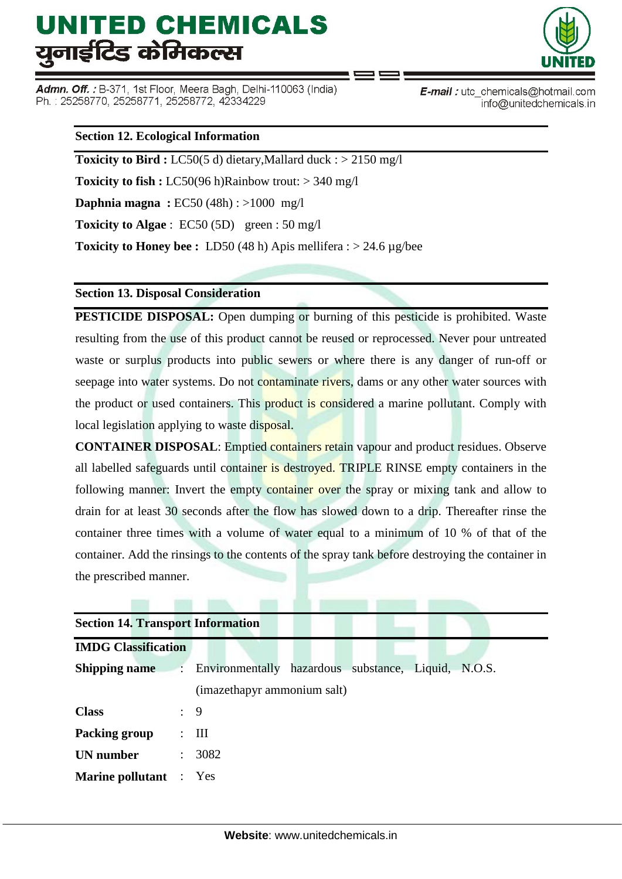Admn. Off. : B-371, 1st Floor, Meera Bagh, Delhi-110063 (India) Ph.: 25258770, 25258771, 25258772, 42334229



E-mail: utc\_chemicals@hotmail.com info@unitedchemicals.in

### **Section 12. Ecological Information**

**Toxicity to Bird :** LC50(5 d) dietary, Mallard duck : > 2150 mg/l **Toxicity to fish :** LC50(96 h)Rainbow trout: > 340 mg/l **Daphnia magna :** EC50 (48h) : >1000 mg/l **Toxicity to Algae** : EC50 (5D) green : 50 mg/l **Toxicity to Honey bee :** LD50 (48 h) Apis mellifera : > 24.6 µg/bee

#### **Section 13. Disposal Consideration**

**PESTICIDE DISPOSAL:** Open dumping or burning of this pesticide is prohibited. Waste resulting from the use of this product cannot be reused or reprocessed. Never pour untreated waste or surplus products into public sewers or where there is any danger of run-off or seepage into water systems. Do not contaminate rivers, dams or any other water sources with the product or used containers. This product is considered a marine pollutant. Comply with local legislation applying to waste disposal.

**CONTAINER DISPOSAL**: Emptied containers retain vapour and product residues. Observe all labelled safeguards until container is destroyed. TRIPLE RINSE empty containers in the following manner: Invert the empty container over the spray or mixing tank and allow to drain for at least 30 seconds after the flow has slowed down to a drip. Thereafter rinse the container three times with a volume of water equal to a minimum of 10 % of that of the container. Add the rinsings to the contents of the spray tank before destroying the container in the prescribed manner.

| <b>Section 14. Transport Information</b> |                      |                                                     |  |  |  |  |  |
|------------------------------------------|----------------------|-----------------------------------------------------|--|--|--|--|--|
| <b>IMDG Classification</b>               |                      |                                                     |  |  |  |  |  |
| <b>Shipping name</b>                     | $\ddot{\phantom{a}}$ | Environmentally hazardous substance, Liquid, N.O.S. |  |  |  |  |  |
|                                          |                      | (imazethapyr ammonium salt)                         |  |  |  |  |  |
| <b>Class</b>                             | $\therefore$ 9       |                                                     |  |  |  |  |  |
| Packing group                            | $\mathcal{L}$        | Ш                                                   |  |  |  |  |  |
| <b>UN</b> number                         | $\ddot{\phantom{0}}$ | 3082                                                |  |  |  |  |  |
| <b>Marine pollutant</b> : Yes            |                      |                                                     |  |  |  |  |  |